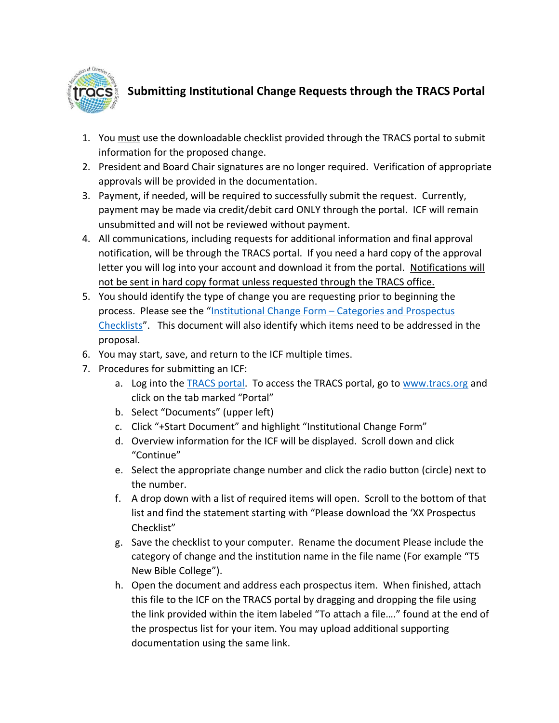

## **Submitting Institutional Change Requests through the TRACS Portal**

- 1. You must use the downloadable checklist provided through the TRACS portal to submit information for the proposed change.
- 2. President and Board Chair signatures are no longer required. Verification of appropriate approvals will be provided in the documentation.
- 3. Payment, if needed, will be required to successfully submit the request. Currently, payment may be made via credit/debit card ONLY through the portal. ICF will remain unsubmitted and will not be reviewed without payment.
- 4. All communications, including requests for additional information and final approval notification, will be through the TRACS portal. If you need a hard copy of the approval letter you will log into your account and download it from the portal. Notifications will not be sent in hard copy format unless requested through the TRACS office.
- 5. You should identify the type of change you are requesting prior to beginning the process. Please see the "Institutional Change Form – [Categories and Prospectus](https://tracs.org/Documents/InstitutionalChangeFormCategoriesandProspectusChecklist.pdf)  [Checklists](https://tracs.org/Documents/InstitutionalChangeFormCategoriesandProspectusChecklist.pdf)". This document will also identify which items need to be addressed in the proposal.
- 6. You may start, save, and return to the ICF multiple times.
- 7. Procedures for submitting an ICF:
	- a. Log into the [TRACS portal.](https://portal.tracs.org/) To access the TRACS portal, go to [www.tracs.org](http://www.tracs.org/) and click on the tab marked "Portal"
	- b. Select "Documents" (upper left)
	- c. Click "+Start Document" and highlight "Institutional Change Form"
	- d. Overview information for the ICF will be displayed. Scroll down and click "Continue"
	- e. Select the appropriate change number and click the radio button (circle) next to the number.
	- f. A drop down with a list of required items will open. Scroll to the bottom of that list and find the statement starting with "Please download the 'XX Prospectus Checklist"
	- g. Save the checklist to your computer. Rename the document Please include the category of change and the institution name in the file name (For example "T5 New Bible College").
	- h. Open the document and address each prospectus item. When finished, attach this file to the ICF on the TRACS portal by dragging and dropping the file using the link provided within the item labeled "To attach a file…." found at the end of the prospectus list for your item. You may upload additional supporting documentation using the same link.